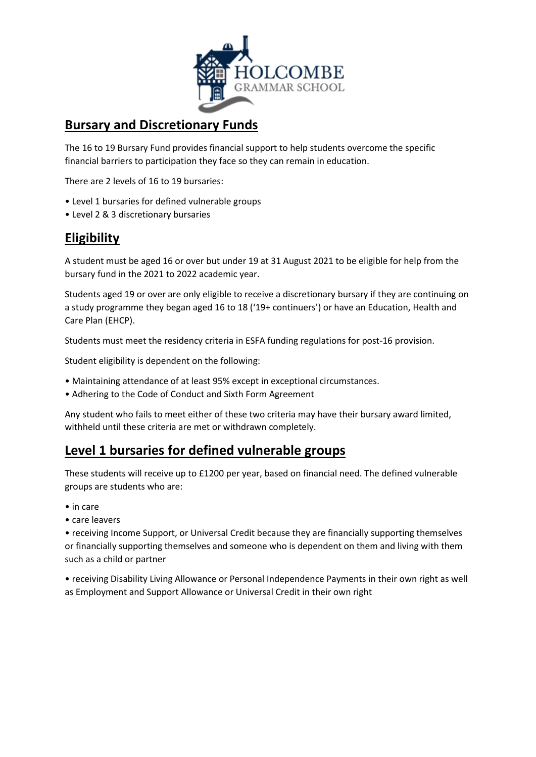

#### **Bursary and Discretionary Funds**

The 16 to 19 Bursary Fund provides financial support to help students overcome the specific financial barriers to participation they face so they can remain in education.

There are 2 levels of 16 to 19 bursaries:

- Level 1 bursaries for defined vulnerable groups
- Level 2 & 3 discretionary bursaries

### **Eligibility**

A student must be aged 16 or over but under 19 at 31 August 2021 to be eligible for help from the bursary fund in the 2021 to 2022 academic year.

Students aged 19 or over are only eligible to receive a discretionary bursary if they are continuing on a study programme they began aged 16 to 18 ('19+ continuers') or have an Education, Health and Care Plan (EHCP).

Students must meet the residency criteria in ESFA funding regulations for post-16 provision.

Student eligibility is dependent on the following:

- Maintaining attendance of at least 95% except in exceptional circumstances.
- Adhering to the Code of Conduct and Sixth Form Agreement

Any student who fails to meet either of these two criteria may have their bursary award limited, withheld until these criteria are met or withdrawn completely.

### **Level 1 bursaries for defined vulnerable groups**

These students will receive up to £1200 per year, based on financial need. The defined vulnerable groups are students who are:

- in care
- care leavers

• receiving Income Support, or Universal Credit because they are financially supporting themselves or financially supporting themselves and someone who is dependent on them and living with them such as a child or partner

• receiving Disability Living Allowance or Personal Independence Payments in their own right as well as Employment and Support Allowance or Universal Credit in their own right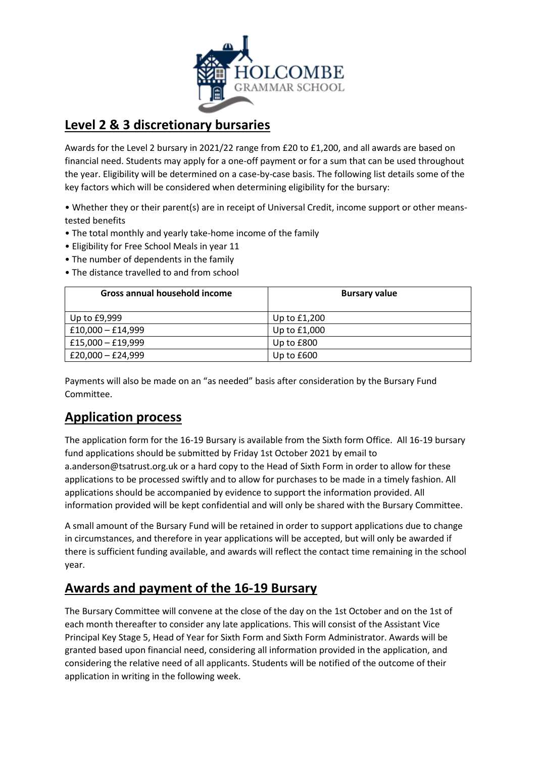

## **Level 2 & 3 discretionary bursaries**

Awards for the Level 2 bursary in 2021/22 range from £20 to £1,200, and all awards are based on financial need. Students may apply for a one-off payment or for a sum that can be used throughout the year. Eligibility will be determined on a case-by-case basis. The following list details some of the key factors which will be considered when determining eligibility for the bursary:

• Whether they or their parent(s) are in receipt of Universal Credit, income support or other meanstested benefits

- The total monthly and yearly take-home income of the family
- Eligibility for Free School Meals in year 11
- The number of dependents in the family
- The distance travelled to and from school

| Gross annual household income | <b>Bursary value</b> |
|-------------------------------|----------------------|
| Up to £9,999                  | Up to £1,200         |
| $£10,000 - £14,999$           | Up to £1,000         |
| £15,000 $-$ £19,999           | Up to £800           |
| £20,000 $-$ £24,999           | Up to $£600$         |

Payments will also be made on an "as needed" basis after consideration by the Bursary Fund Committee.

# **Application process**

The application form for the 16-19 Bursary is available from the Sixth form Office. All 16-19 bursary fund applications should be submitted by Friday 1st October 2021 by email to a.anderson@tsatrust.org.uk or a hard copy to the Head of Sixth Form in order to allow for these applications to be processed swiftly and to allow for purchases to be made in a timely fashion. All applications should be accompanied by evidence to support the information provided. All information provided will be kept confidential and will only be shared with the Bursary Committee.

A small amount of the Bursary Fund will be retained in order to support applications due to change in circumstances, and therefore in year applications will be accepted, but will only be awarded if there is sufficient funding available, and awards will reflect the contact time remaining in the school year.

## **Awards and payment of the 16-19 Bursary**

The Bursary Committee will convene at the close of the day on the 1st October and on the 1st of each month thereafter to consider any late applications. This will consist of the Assistant Vice Principal Key Stage 5, Head of Year for Sixth Form and Sixth Form Administrator. Awards will be granted based upon financial need, considering all information provided in the application, and considering the relative need of all applicants. Students will be notified of the outcome of their application in writing in the following week.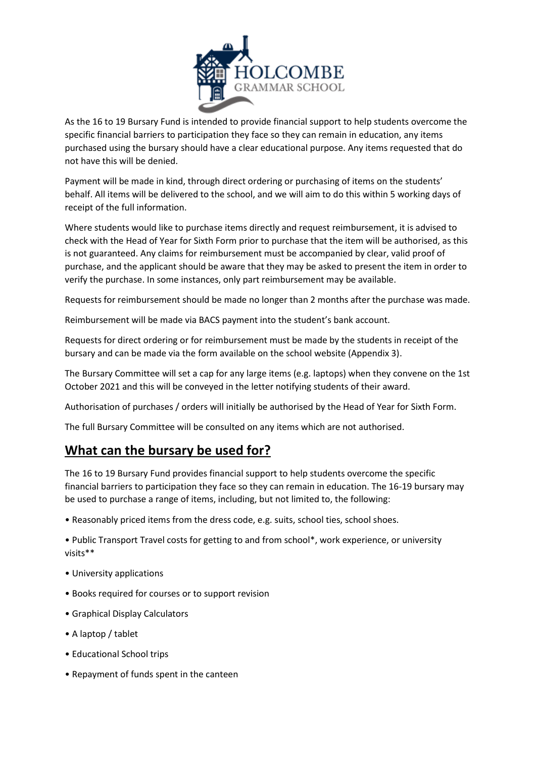

As the 16 to 19 Bursary Fund is intended to provide financial support to help students overcome the specific financial barriers to participation they face so they can remain in education, any items purchased using the bursary should have a clear educational purpose. Any items requested that do not have this will be denied.

Payment will be made in kind, through direct ordering or purchasing of items on the students' behalf. All items will be delivered to the school, and we will aim to do this within 5 working days of receipt of the full information.

Where students would like to purchase items directly and request reimbursement, it is advised to check with the Head of Year for Sixth Form prior to purchase that the item will be authorised, as this is not guaranteed. Any claims for reimbursement must be accompanied by clear, valid proof of purchase, and the applicant should be aware that they may be asked to present the item in order to verify the purchase. In some instances, only part reimbursement may be available.

Requests for reimbursement should be made no longer than 2 months after the purchase was made.

Reimbursement will be made via BACS payment into the student's bank account.

Requests for direct ordering or for reimbursement must be made by the students in receipt of the bursary and can be made via the form available on the school website (Appendix 3).

The Bursary Committee will set a cap for any large items (e.g. laptops) when they convene on the 1st October 2021 and this will be conveyed in the letter notifying students of their award.

Authorisation of purchases / orders will initially be authorised by the Head of Year for Sixth Form.

The full Bursary Committee will be consulted on any items which are not authorised.

# **What can the bursary be used for?**

The 16 to 19 Bursary Fund provides financial support to help students overcome the specific financial barriers to participation they face so they can remain in education. The 16-19 bursary may be used to purchase a range of items, including, but not limited to, the following:

• Reasonably priced items from the dress code, e.g. suits, school ties, school shoes.

• Public Transport Travel costs for getting to and from school\*, work experience, or university visits\*\*

- University applications
- Books required for courses or to support revision
- Graphical Display Calculators
- A laptop / tablet
- Educational School trips
- Repayment of funds spent in the canteen